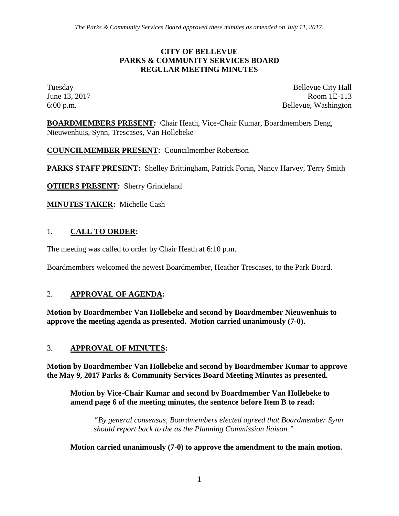#### **CITY OF BELLEVUE PARKS & COMMUNITY SERVICES BOARD REGULAR MEETING MINUTES**

Tuesday Bellevue City Hall June 13, 2017 Room 1E-113 6:00 p.m. Bellevue, Washington

**BOARDMEMBERS PRESENT:** Chair Heath, Vice-Chair Kumar, Boardmembers Deng, Nieuwenhuis, Synn, Trescases, Van Hollebeke

**COUNCILMEMBER PRESENT:** Councilmember Robertson

**PARKS STAFF PRESENT:** Shelley Brittingham, Patrick Foran, Nancy Harvey, Terry Smith

**OTHERS PRESENT:** Sherry Grindeland

**MINUTES TAKER:** Michelle Cash

# 1. **CALL TO ORDER:**

The meeting was called to order by Chair Heath at 6:10 p.m.

Boardmembers welcomed the newest Boardmember, Heather Trescases, to the Park Board.

### 2. **APPROVAL OF AGENDA:**

**Motion by Boardmember Van Hollebeke and second by Boardmember Nieuwenhuis to approve the meeting agenda as presented. Motion carried unanimously (7-0).**

### 3. **APPROVAL OF MINUTES:**

**Motion by Boardmember Van Hollebeke and second by Boardmember Kumar to approve the May 9, 2017 Parks & Community Services Board Meeting Minutes as presented.** 

**Motion by Vice-Chair Kumar and second by Boardmember Van Hollebeke to amend page 6 of the meeting minutes, the sentence before Item B to read:**

*"By general consensus, Boardmembers elected agreed that Boardmember Synn should report back to the as the Planning Commission liaison."*

**Motion carried unanimously (7-0) to approve the amendment to the main motion.**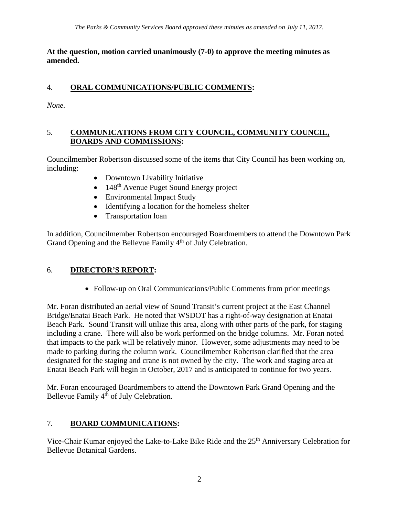**At the question, motion carried unanimously (7-0) to approve the meeting minutes as amended.**

# 4. **ORAL COMMUNICATIONS/PUBLIC COMMENTS:**

*None.*

# 5. **COMMUNICATIONS FROM CITY COUNCIL, COMMUNITY COUNCIL, BOARDS AND COMMISSIONS:**

Councilmember Robertson discussed some of the items that City Council has been working on, including:

- Downtown Livability Initiative
- $\bullet$  148<sup>th</sup> Avenue Puget Sound Energy project
- Environmental Impact Study
- Identifying a location for the homeless shelter
- Transportation loan

In addition, Councilmember Robertson encouraged Boardmembers to attend the Downtown Park Grand Opening and the Bellevue Family 4<sup>th</sup> of July Celebration.

# 6. **DIRECTOR'S REPORT:**

• Follow-up on Oral Communications/Public Comments from prior meetings

Mr. Foran distributed an aerial view of Sound Transit's current project at the East Channel Bridge/Enatai Beach Park. He noted that WSDOT has a right-of-way designation at Enatai Beach Park. Sound Transit will utilize this area, along with other parts of the park, for staging including a crane. There will also be work performed on the bridge columns. Mr. Foran noted that impacts to the park will be relatively minor. However, some adjustments may need to be made to parking during the column work. Councilmember Robertson clarified that the area designated for the staging and crane is not owned by the city. The work and staging area at Enatai Beach Park will begin in October, 2017 and is anticipated to continue for two years.

Mr. Foran encouraged Boardmembers to attend the Downtown Park Grand Opening and the Bellevue Family  $4<sup>th</sup>$  of July Celebration.

# 7. **BOARD COMMUNICATIONS:**

Vice-Chair Kumar enjoyed the Lake-to-Lake Bike Ride and the 25<sup>th</sup> Anniversary Celebration for Bellevue Botanical Gardens.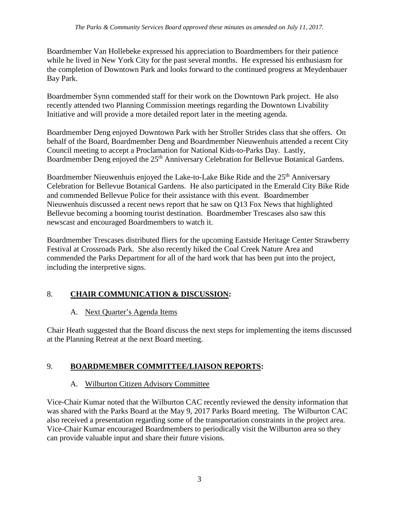Boardmember Van Hollebeke expressed his appreciation to Boardmembers for their patience while he lived in New York City for the past several months. He expressed his enthusiasm for the completion of Downtown Park and looks forward to the continued progress at Meydenbauer Bay Park.

Boardmember Synn commended staff for their work on the Downtown Park project. He also recently attended two Planning Commission meetings regarding the Downtown Livability Initiative and will provide a more detailed report later in the meeting agenda.

Boardmember Deng enjoyed Downtown Park with her Stroller Strides class that she offers. On behalf of the Board, Boardmember Deng and Boardmember Nieuwenhuis attended a recent City Council meeting to accept a Proclamation for National Kids-to-Parks Day. Lastly, Boardmember Deng enjoyed the 25<sup>th</sup> Anniversary Celebration for Bellevue Botanical Gardens.

Boardmember Nieuwenhuis enjoyed the Lake-to-Lake Bike Ride and the 25<sup>th</sup> Anniversary Celebration for Bellevue Botanical Gardens. He also participated in the Emerald City Bike Ride and commended Bellevue Police for their assistance with this event. Boardmember Nieuwenhuis discussed a recent news report that he saw on Q13 Fox News that highlighted Bellevue becoming a booming tourist destination. Boardmember Trescases also saw this newscast and encouraged Boardmembers to watch it.

Boardmember Trescases distributed fliers for the upcoming Eastside Heritage Center Strawberry Festival at Crossroads Park. She also recently hiked the Coal Creek Nature Area and commended the Parks Department for all of the hard work that has been put into the project, including the interpretive signs.

# 8. **CHAIR COMMUNICATION & DISCUSSION:**

### A. Next Quarter's Agenda Items

Chair Heath suggested that the Board discuss the next steps for implementing the items discussed at the Planning Retreat at the next Board meeting.

# 9. **BOARDMEMBER COMMITTEE/LIAISON REPORTS:**

# A. Wilburton Citizen Advisory Committee

Vice-Chair Kumar noted that the Wilburton CAC recently reviewed the density information that was shared with the Parks Board at the May 9, 2017 Parks Board meeting. The Wilburton CAC also received a presentation regarding some of the transportation constraints in the project area. Vice-Chair Kumar encouraged Boardmembers to periodically visit the Wilburton area so they can provide valuable input and share their future visions.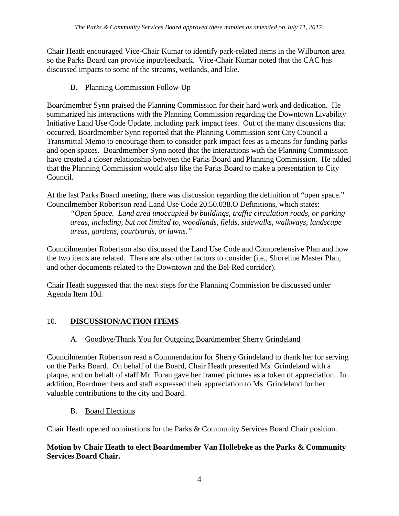Chair Heath encouraged Vice-Chair Kumar to identify park-related items in the Wilburton area so the Parks Board can provide input/feedback. Vice-Chair Kumar noted that the CAC has discussed impacts to some of the streams, wetlands, and lake.

B. Planning Commission Follow-Up

Boardmember Synn praised the Planning Commission for their hard work and dedication. He summarized his interactions with the Planning Commission regarding the Downtown Livability Initiative Land Use Code Update, including park impact fees. Out of the many discussions that occurred, Boardmember Synn reported that the Planning Commission sent City Council a Transmittal Memo to encourage them to consider park impact fees as a means for funding parks and open spaces. Boardmember Synn noted that the interactions with the Planning Commission have created a closer relationship between the Parks Board and Planning Commission. He added that the Planning Commission would also like the Parks Board to make a presentation to City Council.

At the last Parks Board meeting, there was discussion regarding the definition of "open space." Councilmember Robertson read Land Use Code 20.50.038.O Definitions, which states:

*"Open Space. Land area unoccupied by buildings, traffic circulation roads, or parking areas, including, but not limited to, woodlands, fields, sidewalks, walkways, landscape areas, gardens, courtyards, or lawns."*

Councilmember Robertson also discussed the Land Use Code and Comprehensive Plan and how the two items are related. There are also other factors to consider (i.e., Shoreline Master Plan, and other documents related to the Downtown and the Bel-Red corridor).

Chair Heath suggested that the next steps for the Planning Commission be discussed under Agenda Item 10d.

# 10. **DISCUSSION/ACTION ITEMS**

# A. Goodbye/Thank You for Outgoing Boardmember Sherry Grindeland

Councilmember Robertson read a Commendation for Sherry Grindeland to thank her for serving on the Parks Board. On behalf of the Board, Chair Heath presented Ms. Grindeland with a plaque, and on behalf of staff Mr. Foran gave her framed pictures as a token of appreciation. In addition, Boardmembers and staff expressed their appreciation to Ms. Grindeland for her valuable contributions to the city and Board.

B. Board Elections

Chair Heath opened nominations for the Parks & Community Services Board Chair position.

## **Motion by Chair Heath to elect Boardmember Van Hollebeke as the Parks & Community Services Board Chair.**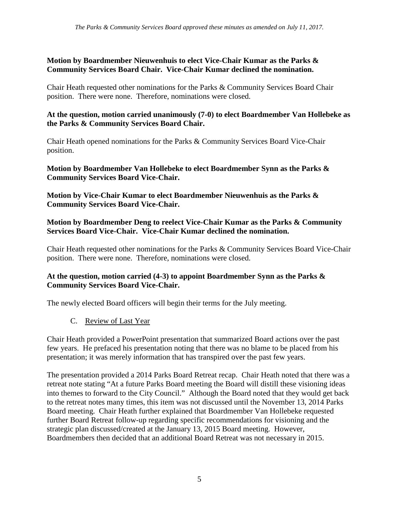## **Motion by Boardmember Nieuwenhuis to elect Vice-Chair Kumar as the Parks & Community Services Board Chair. Vice-Chair Kumar declined the nomination.**

Chair Heath requested other nominations for the Parks & Community Services Board Chair position. There were none. Therefore, nominations were closed.

**At the question, motion carried unanimously (7-0) to elect Boardmember Van Hollebeke as the Parks & Community Services Board Chair.**

Chair Heath opened nominations for the Parks & Community Services Board Vice-Chair position.

**Motion by Boardmember Van Hollebeke to elect Boardmember Synn as the Parks & Community Services Board Vice-Chair.** 

**Motion by Vice-Chair Kumar to elect Boardmember Nieuwenhuis as the Parks & Community Services Board Vice-Chair.** 

**Motion by Boardmember Deng to reelect Vice-Chair Kumar as the Parks & Community Services Board Vice-Chair. Vice-Chair Kumar declined the nomination.**

Chair Heath requested other nominations for the Parks & Community Services Board Vice-Chair position. There were none. Therefore, nominations were closed.

## **At the question, motion carried (4-3) to appoint Boardmember Synn as the Parks & Community Services Board Vice-Chair.**

The newly elected Board officers will begin their terms for the July meeting.

C. Review of Last Year

Chair Heath provided a PowerPoint presentation that summarized Board actions over the past few years. He prefaced his presentation noting that there was no blame to be placed from his presentation; it was merely information that has transpired over the past few years.

The presentation provided a 2014 Parks Board Retreat recap. Chair Heath noted that there was a retreat note stating "At a future Parks Board meeting the Board will distill these visioning ideas into themes to forward to the City Council." Although the Board noted that they would get back to the retreat notes many times, this item was not discussed until the November 13, 2014 Parks Board meeting. Chair Heath further explained that Boardmember Van Hollebeke requested further Board Retreat follow-up regarding specific recommendations for visioning and the strategic plan discussed/created at the January 13, 2015 Board meeting. However, Boardmembers then decided that an additional Board Retreat was not necessary in 2015.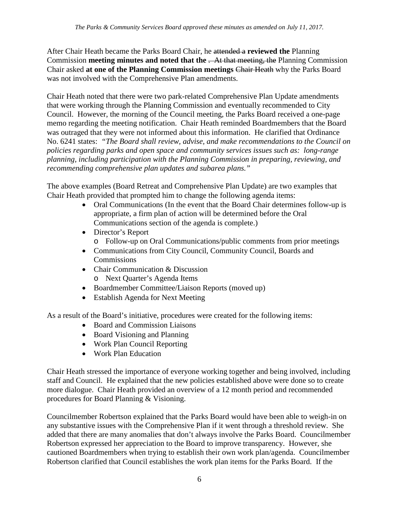After Chair Heath became the Parks Board Chair, he attended a **reviewed the** Planning Commission **meeting minutes and noted that the** . At that meeting, the Planning Commission Chair asked **at one of the Planning Commission meetings** Chair Heath why the Parks Board was not involved with the Comprehensive Plan amendments.

Chair Heath noted that there were two park-related Comprehensive Plan Update amendments that were working through the Planning Commission and eventually recommended to City Council. However, the morning of the Council meeting, the Parks Board received a one-page memo regarding the meeting notification. Chair Heath reminded Boardmembers that the Board was outraged that they were not informed about this information. He clarified that Ordinance No. 6241 states: *"The Board shall review, advise, and make recommendations to the Council on policies regarding parks and open space and community services issues such as: long-range planning, including participation with the Planning Commission in preparing, reviewing, and recommending comprehensive plan updates and subarea plans."*

The above examples (Board Retreat and Comprehensive Plan Update) are two examples that Chair Heath provided that prompted him to change the following agenda items:

- Oral Communications (In the event that the Board Chair determines follow-up is appropriate, a firm plan of action will be determined before the Oral Communications section of the agenda is complete.)
- Director's Report o Follow-up on Oral Communications/public comments from prior meetings
- Communications from City Council, Community Council, Boards and **Commissions**
- Chair Communication & Discussion o Next Quarter's Agenda Items
- Boardmember Committee/Liaison Reports (moved up)
- Establish Agenda for Next Meeting

As a result of the Board's initiative, procedures were created for the following items:

- Board and Commission Liaisons
- Board Visioning and Planning
- Work Plan Council Reporting
- Work Plan Education

Chair Heath stressed the importance of everyone working together and being involved, including staff and Council. He explained that the new policies established above were done so to create more dialogue. Chair Heath provided an overview of a 12 month period and recommended procedures for Board Planning & Visioning.

Councilmember Robertson explained that the Parks Board would have been able to weigh-in on any substantive issues with the Comprehensive Plan if it went through a threshold review. She added that there are many anomalies that don't always involve the Parks Board. Councilmember Robertson expressed her appreciation to the Board to improve transparency. However, she cautioned Boardmembers when trying to establish their own work plan/agenda. Councilmember Robertson clarified that Council establishes the work plan items for the Parks Board. If the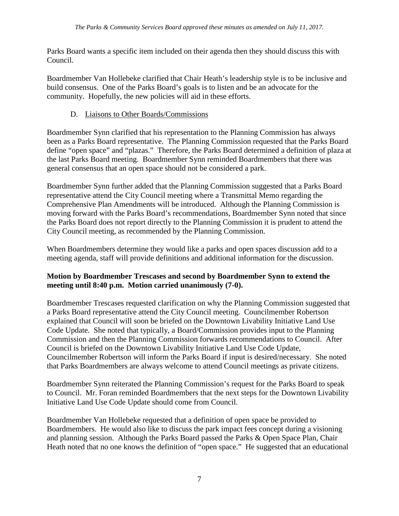Parks Board wants a specific item included on their agenda then they should discuss this with Council.

Boardmember Van Hollebeke clarified that Chair Heath's leadership style is to be inclusive and build consensus. One of the Parks Board's goals is to listen and be an advocate for the community. Hopefully, the new policies will aid in these efforts.

### D. Liaisons to Other Boards/Commissions

Boardmember Synn clarified that his representation to the Planning Commission has always been as a Parks Board representative. The Planning Commission requested that the Parks Board define "open space" and "plazas." Therefore, the Parks Board determined a definition of plaza at the last Parks Board meeting. Boardmember Synn reminded Boardmembers that there was general consensus that an open space should not be considered a park.

Boardmember Synn further added that the Planning Commission suggested that a Parks Board representative attend the City Council meeting where a Transmittal Memo regarding the Comprehensive Plan Amendments will be introduced. Although the Planning Commission is moving forward with the Parks Board's recommendations, Boardmember Synn noted that since the Parks Board does not report directly to the Planning Commission it is prudent to attend the City Council meeting, as recommended by the Planning Commission.

When Boardmembers determine they would like a parks and open spaces discussion add to a meeting agenda, staff will provide definitions and additional information for the discussion.

## **Motion by Boardmember Trescases and second by Boardmember Synn to extend the meeting until 8:40 p.m. Motion carried unanimously (7-0).**

Boardmember Trescases requested clarification on why the Planning Commission suggested that a Parks Board representative attend the City Council meeting. Councilmember Robertson explained that Council will soon be briefed on the Downtown Livability Initiative Land Use Code Update. She noted that typically, a Board/Commission provides input to the Planning Commission and then the Planning Commission forwards recommendations to Council. After Council is briefed on the Downtown Livability Initiative Land Use Code Update, Councilmember Robertson will inform the Parks Board if input is desired/necessary. She noted that Parks Boardmembers are always welcome to attend Council meetings as private citizens.

Boardmember Synn reiterated the Planning Commission's request for the Parks Board to speak to Council. Mr. Foran reminded Boardmembers that the next steps for the Downtown Livability Initiative Land Use Code Update should come from Council.

Boardmember Van Hollebeke requested that a definition of open space be provided to Boardmembers. He would also like to discuss the park impact fees concept during a visioning and planning session. Although the Parks Board passed the Parks & Open Space Plan, Chair Heath noted that no one knows the definition of "open space." He suggested that an educational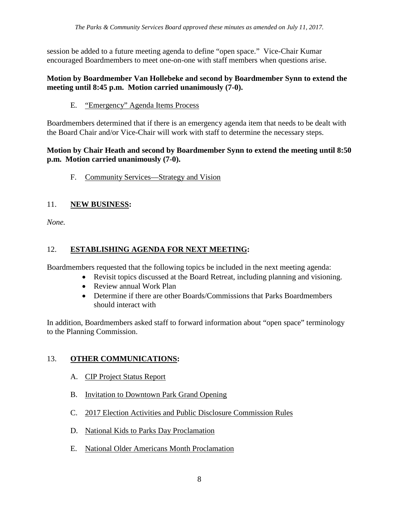session be added to a future meeting agenda to define "open space." Vice-Chair Kumar encouraged Boardmembers to meet one-on-one with staff members when questions arise.

#### **Motion by Boardmember Van Hollebeke and second by Boardmember Synn to extend the meeting until 8:45 p.m. Motion carried unanimously (7-0).**

E. "Emergency" Agenda Items Process

Boardmembers determined that if there is an emergency agenda item that needs to be dealt with the Board Chair and/or Vice-Chair will work with staff to determine the necessary steps.

## **Motion by Chair Heath and second by Boardmember Synn to extend the meeting until 8:50 p.m. Motion carried unanimously (7-0).**

# F. Community Services—Strategy and Vision

## 11. **NEW BUSINESS:**

*None.*

# 12. **ESTABLISHING AGENDA FOR NEXT MEETING:**

Boardmembers requested that the following topics be included in the next meeting agenda:

- Revisit topics discussed at the Board Retreat, including planning and visioning.
	- Review annual Work Plan
	- Determine if there are other Boards/Commissions that Parks Boardmembers should interact with

In addition, Boardmembers asked staff to forward information about "open space" terminology to the Planning Commission.

# 13. **OTHER COMMUNICATIONS:**

- A. CIP Project Status Report
- B. Invitation to Downtown Park Grand Opening
- C. 2017 Election Activities and Public Disclosure Commission Rules
- D. National Kids to Parks Day Proclamation
- E. National Older Americans Month Proclamation